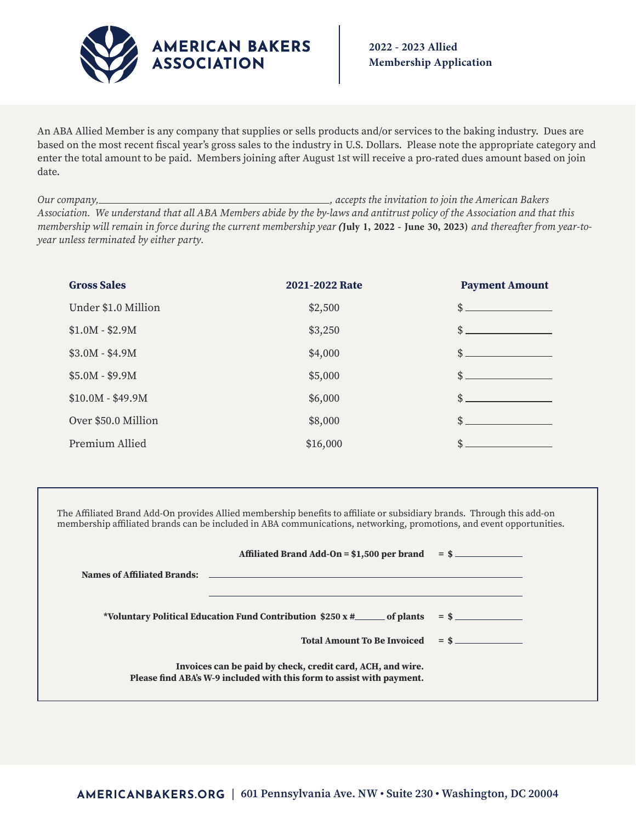

An ABA Allied Member is any company that supplies or sells products and/or services to the baking industry. Dues are based on the most recent fiscal year's gross sales to the industry in U.S. Dollars. Please note the appropriate category and enter the total amount to be paid. Members joining after August 1st will receive a pro-rated dues amount based on join date.

*Our company, , accepts the invitation to join the American Bakers Association. We understand that all ABA Members abide by the by-laws and antitrust policy of the Association and that this membership will remain in force during the current membership year* **(July 1, 2022 - June 30, 2023)** *and thereafter from year-toyear unless terminated by either party.*

| <b>Gross Sales</b>  | 2021-2022 Rate | <b>Payment Amount</b> |
|---------------------|----------------|-----------------------|
| Under \$1.0 Million | \$2,500        | \$                    |
| $$1.0M - $2.9M$$    | \$3,250        | \$                    |
| $$3.0M - $4.9M$     | \$4,000        | \$                    |
| $$5.0M - $9.9M$     | \$5,000        | \$                    |
| $$10.0M - $49.9M$   | \$6,000        | \$                    |
| Over \$50.0 Million | \$8,000        | \$                    |
| Premium Allied      | \$16,000       | \$                    |

The Affiliated Brand Add-On provides Allied membership benefits to affiliate or subsidiary brands. Through this add-on membership affiliated brands can be included in ABA communications, networking, promotions, and event opportunities.

|                                                                            | Affiliated Brand Add-On = $$1,500$ per brand = $$$ ____________                                                                                                                                                                     |  |
|----------------------------------------------------------------------------|-------------------------------------------------------------------------------------------------------------------------------------------------------------------------------------------------------------------------------------|--|
|                                                                            | <b>Names of Affiliated Brands:</b> And the contract of the contract of the contract of the contract of the contract of the contract of the contract of the contract of the contract of the contract of the contract of the contract |  |
|                                                                            |                                                                                                                                                                                                                                     |  |
| *Voluntary Political Education Fund Contribution $$250 x #$ of plants = \$ |                                                                                                                                                                                                                                     |  |
|                                                                            | $Total Amount To Be Invoiced = $$                                                                                                                                                                                                   |  |
|                                                                            | Invoices can be paid by check, credit card, ACH, and wire.<br>Please find ABA's W-9 included with this form to assist with payment.                                                                                                 |  |